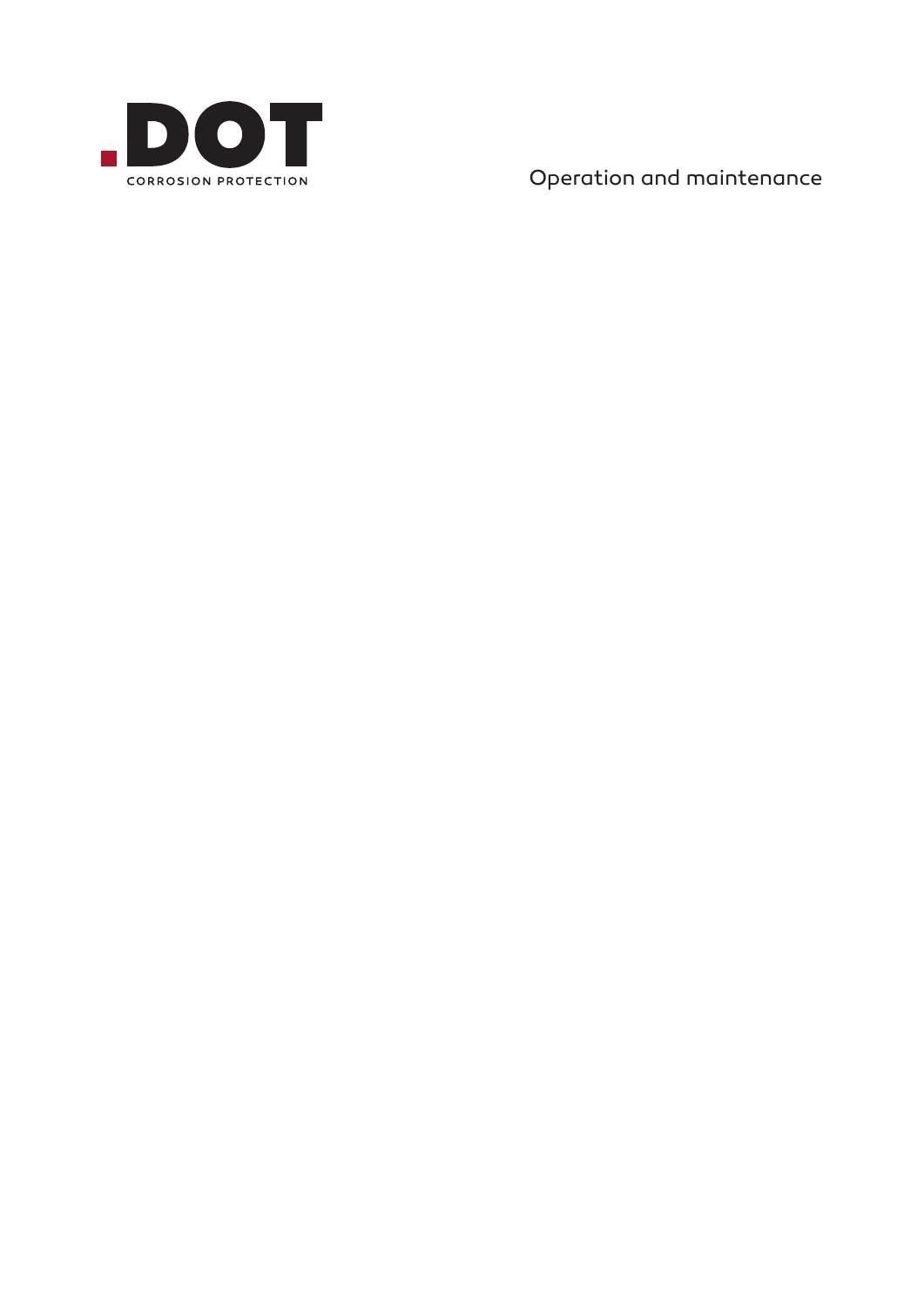

Operation and maintenance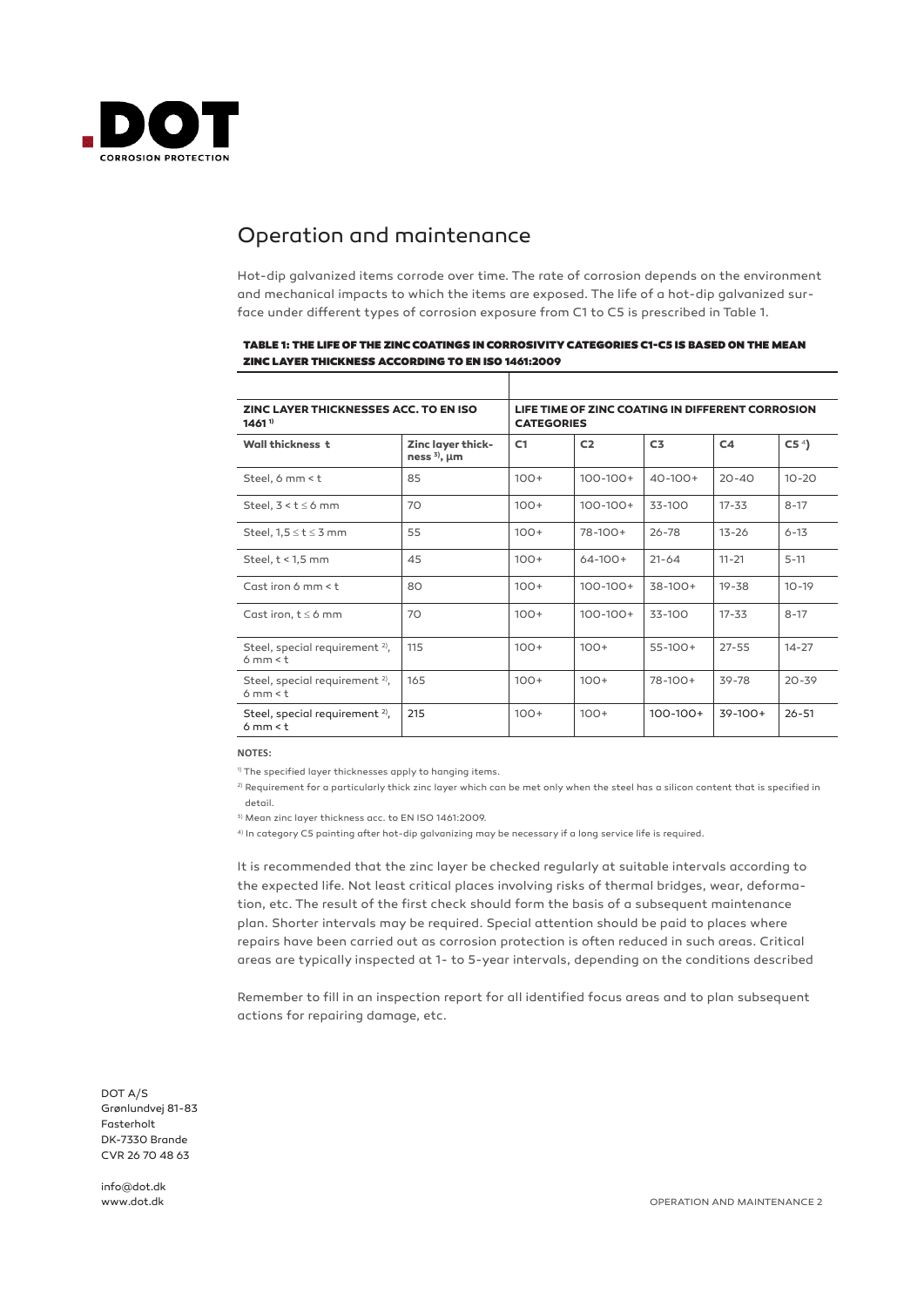

## Operation and maintenance

Hot-dip galvanized items corrode over time. The rate of corrosion depends on the environment and mechanical impacts to which the items are exposed. The life of a hot-dip galvanized surface under different types of corrosion exposure from C1 to C5 is prescribed in Table 1.

| <b>ZINC LAYER THICKNESSES ACC. TO EN ISO</b><br>1461 <sup>1</sup> |                                             | LIFE TIME OF ZINC COATING IN DIFFERENT CORROSION<br><b>CATEGORIES</b> |                |                |                |                 |
|-------------------------------------------------------------------|---------------------------------------------|-----------------------------------------------------------------------|----------------|----------------|----------------|-----------------|
| <b>Wall thickness t</b>                                           | Zinc layer thick-<br>ness $^{3)}$ , $\mu$ m | C1                                                                    | C <sub>2</sub> | C <sub>3</sub> | C <sub>4</sub> | C5 <sup>4</sup> |
| Steel, 6 mm < t                                                   | 85                                          | $100+$                                                                | $100 - 100 +$  | $40 - 100 +$   | $20 - 40$      | $10 - 20$       |
| Steel. $3 < t \leq 6$ mm                                          | 70                                          | $100+$                                                                | $100 - 100 +$  | 33-100         | $17 - 33$      | $8 - 17$        |
| Steel, $1,5 \le t \le 3$ mm                                       | 55                                          | $100+$                                                                | $78-100+$      | $26 - 78$      | $13 - 26$      | $6 - 13$        |
| Steel, $t < 1.5$ mm                                               | 45                                          | $100+$                                                                | $64-100+$      | $21 - 64$      | $11 - 21$      | $5 - 11$        |
| Cast iron 6 mm $<$ t                                              | 80                                          | $100+$                                                                | $100 - 100 +$  | $38-100+$      | $19 - 38$      | $10 - 19$       |
| Cast iron, $t \le 6$ mm                                           | 70                                          | $100+$                                                                | $100 - 100 +$  | 33-100         | $17 - 33$      | $8 - 17$        |
| Steel, special requirement <sup>2)</sup> ,<br>6mm < t             | 115                                         | $100+$                                                                | $100+$         | $55-100+$      | $27 - 55$      | $14 - 27$       |
| Steel, special requirement $2$ ,<br>6mm < t                       | 165                                         | $100+$                                                                | $100+$         | $78-100+$      | 39-78          | $20 - 39$       |
| Steel, special requirement <sup>2)</sup> ,<br>6mm < t             | 215                                         | $100+$                                                                | $100+$         | $100 - 100 +$  | $39-100+$      | $26 - 51$       |

#### TABLE 1: THE LIFE OF THE ZINC COATINGS IN CORROSIVITY CATEGORIES C1-C5 IS BASED ON THE MEAN ZINC LAYER THICKNESS ACCORDING TO EN ISO 1461:2009

**NOTES:**

<sup>1)</sup> The specified layer thicknesses apply to hanging items.

2) Requirement for a particularly thick zinc layer which can be met only when the steel has a silicon content that is specified in detail.

3) Mean zinc layer thickness acc. to EN ISO 1461:2009.

4) In category C5 painting after hot-dip galvanizing may be necessary if a long service life is required.

It is recommended that the zinc layer be checked regularly at suitable intervals according to the expected life. Not least critical places involving risks of thermal bridges, wear, deformation, etc. The result of the first check should form the basis of a subsequent maintenance plan. Shorter intervals may be required. Special attention should be paid to places where repairs have been carried out as corrosion protection is often reduced in such areas. Critical areas are typically inspected at 1- to 5-year intervals, depending on the conditions described

Remember to fill in an inspection report for all identified focus areas and to plan subsequent actions for repairing damage, etc.

DOT A/S Grønlundvej 81-83 Fasterholt DK-7330 Brande CVR 26 70 48 63

info@dot.dk www.dot.dk